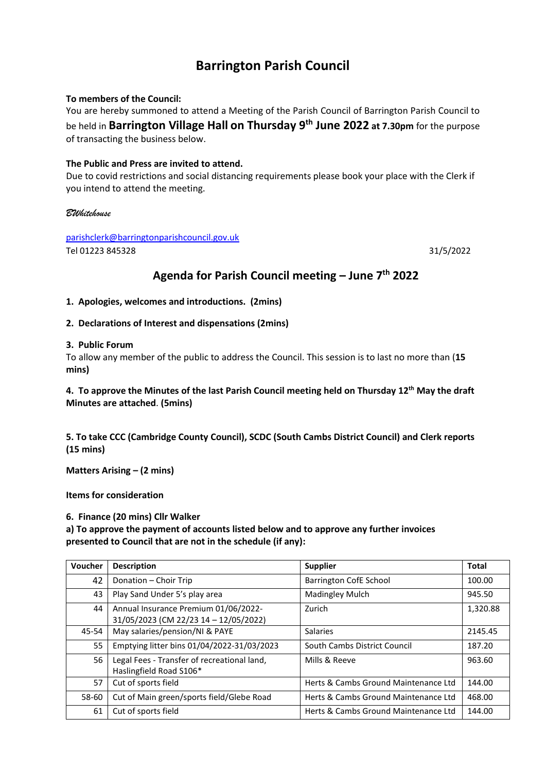# **Barrington Parish Council**

#### **To members of the Council:**

You are hereby summoned to attend a Meeting of the Parish Council of Barrington Parish Council to be held in **Barrington Village Hall on Thursday 9 th June 2022 at 7.30pm** for the purpose of transacting the business below.

#### **The Public and Press are invited to attend.**

Due to covid restrictions and social distancing requirements please book your place with the Clerk if you intend to attend the meeting.

#### *BWhitehouse*

[parishclerk@barringtonparishcouncil.gov.uk](mailto:parishclerk@barringtonparishcouncil.gov.uk) Tel 01223 845328 31/5/2022

## **Agenda for Parish Council meeting – June 7th 2022**

**1. Apologies, welcomes and introductions. (2mins)** 

### **2. Declarations of Interest and dispensations (2mins)**

#### **3. Public Forum**

To allow any member of the public to address the Council. This session is to last no more than (**15 mins)**

## **4. To approve the Minutes of the last Parish Council meeting held on Thursday 12th May the draft Minutes are attached**. **(5mins)**

**5. To take CCC (Cambridge County Council), SCDC (South Cambs District Council) and Clerk reports (15 mins)**

**Matters Arising – (2 mins)**

**Items for consideration**

#### **6. Finance (20 mins) Cllr Walker**

**a) To approve the payment of accounts listed below and to approve any further invoices presented to Council that are not in the schedule (if any):**

| Voucher | <b>Description</b>                                                            | <b>Supplier</b>                      | <b>Total</b> |
|---------|-------------------------------------------------------------------------------|--------------------------------------|--------------|
| 42      | Donation - Choir Trip                                                         | Barrington CofE School               | 100.00       |
| 43      | Play Sand Under 5's play area                                                 | Madingley Mulch                      | 945.50       |
| 44      | Annual Insurance Premium 01/06/2022-<br>31/05/2023 (CM 22/23 14 - 12/05/2022) | Zurich                               | 1,320.88     |
| 45-54   | May salaries/pension/NI & PAYE                                                | <b>Salaries</b>                      | 2145.45      |
| 55      | Emptying litter bins 01/04/2022-31/03/2023                                    | South Cambs District Council         | 187.20       |
| 56      | Legal Fees - Transfer of recreational land,<br>Haslingfield Road S106*        | Mills & Reeve                        | 963.60       |
| 57      | Cut of sports field                                                           | Herts & Cambs Ground Maintenance Ltd | 144.00       |
| 58-60   | Cut of Main green/sports field/Glebe Road                                     | Herts & Cambs Ground Maintenance Ltd | 468.00       |
| 61      | Cut of sports field                                                           | Herts & Cambs Ground Maintenance Ltd | 144.00       |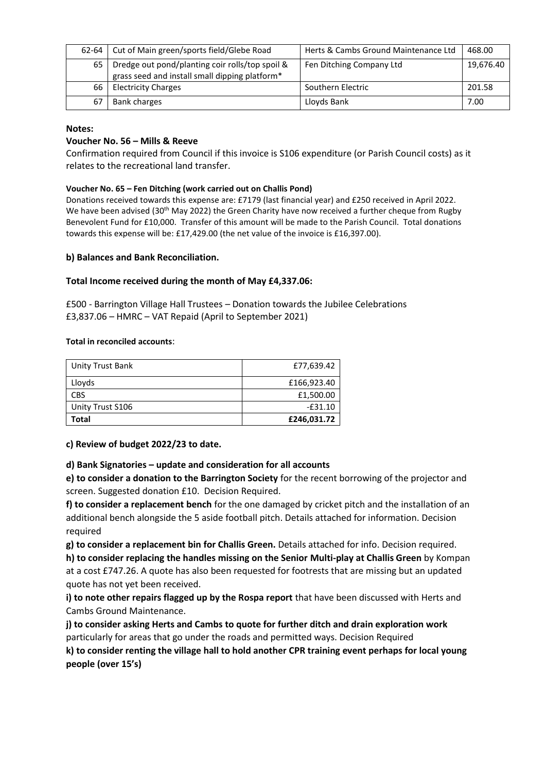| $62 - 64$ | Cut of Main green/sports field/Glebe Road                                                         | Herts & Cambs Ground Maintenance Ltd | 468.00    |
|-----------|---------------------------------------------------------------------------------------------------|--------------------------------------|-----------|
| 65        | Dredge out pond/planting coir rolls/top spoil &<br>grass seed and install small dipping platform* | Fen Ditching Company Ltd             | 19,676.40 |
| 66        | <b>Electricity Charges</b>                                                                        | Southern Electric                    | 201.58    |
|           | <b>Bank charges</b>                                                                               | Lloyds Bank                          | 7.00      |

#### **Notes:**

#### **Voucher No. 56 – Mills & Reeve**

Confirmation required from Council if this invoice is S106 expenditure (or Parish Council costs) as it relates to the recreational land transfer.

#### **Voucher No. 65 – Fen Ditching (work carried out on Challis Pond)**

Donations received towards this expense are: £7179 (last financial year) and £250 received in April 2022. We have been advised (30<sup>th</sup> May 2022) the Green Charity have now received a further cheque from Rugby Benevolent Fund for £10,000. Transfer of this amount will be made to the Parish Council. Total donations towards this expense will be: £17,429.00 (the net value of the invoice is £16,397.00).

#### **b) Balances and Bank Reconciliation.**

#### **Total Income received during the month of May £4,337.06:**

£500 - Barrington Village Hall Trustees – Donation towards the Jubilee Celebrations £3,837.06 – HMRC – VAT Repaid (April to September 2021)

#### **Total in reconciled accounts**:

| Unity Trust Bank | £77,639.42  |
|------------------|-------------|
| Lloyds           | £166,923.40 |
| <b>CBS</b>       | £1,500.00   |
| Unity Trust S106 | $-£31.10$   |
| Total            | £246,031.72 |

#### **c) Review of budget 2022/23 to date.**

#### **d) Bank Signatories – update and consideration for all accounts**

**e) to consider a donation to the Barrington Society** for the recent borrowing of the projector and screen. Suggested donation £10. Decision Required.

**f) to consider a replacement bench** for the one damaged by cricket pitch and the installation of an additional bench alongside the 5 aside football pitch. Details attached for information. Decision required

**g) to consider a replacement bin for Challis Green.** Details attached for info. Decision required. **h) to consider replacing the handles missing on the Senior Multi-play at Challis Green** by Kompan at a cost £747.26. A quote has also been requested for footrests that are missing but an updated quote has not yet been received.

**i) to note other repairs flagged up by the Rospa report** that have been discussed with Herts and Cambs Ground Maintenance.

**j) to consider asking Herts and Cambs to quote for further ditch and drain exploration work**  particularly for areas that go under the roads and permitted ways. Decision Required

**k) to consider renting the village hall to hold another CPR training event perhaps for local young people (over 15's)**